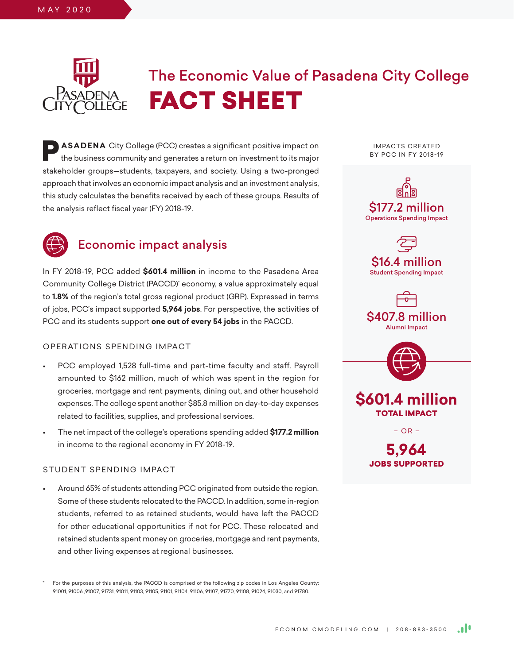## M AY 2 0 2 0

# The Economic Value of Pasadena City College FACT SHEET

**P ASADENA** City College (PCC) creates a significant positive impact on the business community and generates a return on investment to its major stakeholder groups—students, taxpayers, and society. Using a two-pronged approach that involves an economic impact analysis and an investment analysis, this study calculates the benefits received by each of these groups. Results of the analysis reflect fiscal year (FY) 2018-19.



## Economic impact analysis

In FY 2018-19, PCC added **\$601.4 million** in income to the Pasadena Area Community College District (PACCD)\* economy, a value approximately equal to **1.8%** of the region's total gross regional product (GRP). Expressed in terms of jobs, PCC's impact supported **5,964 jobs**. For perspective, the activities of PCC and its students support **one out of every 54 jobs** in the PACCD.

## OPERATIONS SPENDING IMPACT

- PCC employed 1,528 full-time and part-time faculty and staff. Payroll amounted to \$162 million, much of which was spent in the region for groceries, mortgage and rent payments, dining out, and other household expenses. The college spent another \$85.8 million on day-to-day expenses related to facilities, supplies, and professional services.
- The net impact of the college's operations spending added **\$177.2 million** in income to the regional economy in FY 2018-19.

## STUDENT SPENDING IMPACT

• Around 65% of students attending PCC originated from outside the region. Some of these students relocated to the PACCD. In addition, some in-region students, referred to as retained students, would have left the PACCD for other educational opportunities if not for PCC. These relocated and retained students spent money on groceries, mortgage and rent payments, and other living expenses at regional businesses.

For the purposes of this analysis, the PACCD is comprised of the following zip codes in Los Angeles County: 91001, 91006 ,91007, 91731, 91011, 91103, 91105, 91101, 91104, 91106, 91107, 91770, 91108, 91024, 91030, and 91780.

**IMPACTS CREATED** BY PCC IN FY 2018-19











– OR –

**5,964** JOBS SUPPORTED